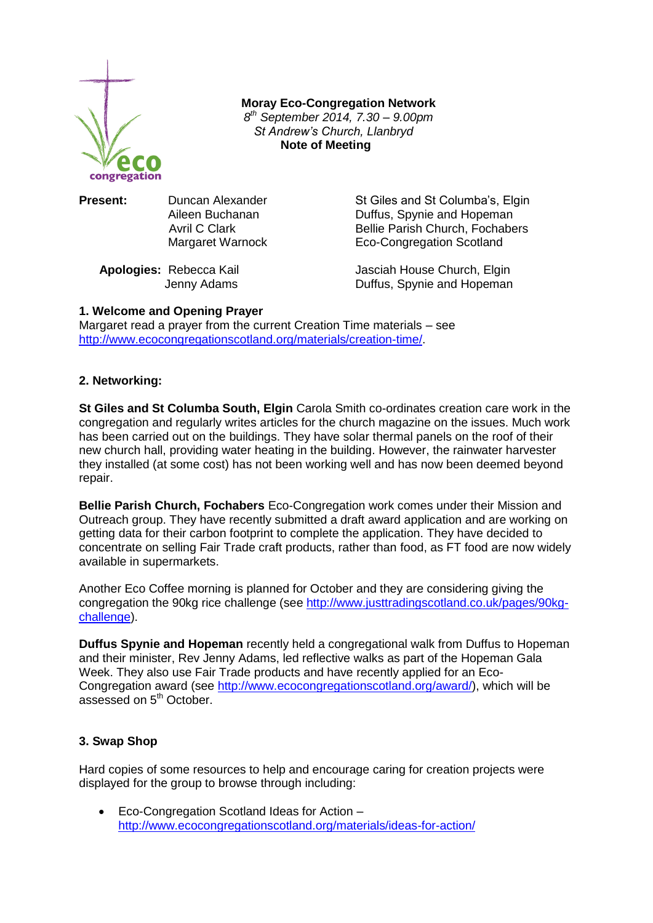

 **Moray Eco-Congregation Network**  *8 th September 2014, 7.30 – 9.00pm St Andrew's Church, Llanbryd*  **Note of Meeting**

**Present:** Duncan Alexander St Giles and St Columba's, Elgin Aileen Buchanan Duffus, Spynie and Hopeman Avril C Clark Bellie Parish Church, Fochabers Margaret Warnock Eco-Congregation Scotland

**Apologies:** Rebecca Kail Jasciah House Church, Elgin Jenny AdamsDuffus, Spynie and Hopeman

## **1. Welcome and Opening Prayer**

Margaret read a prayer from the current Creation Time materials – see [http://www.ecocongregationscotland.org/materials/creation-time/.](http://www.ecocongregationscotland.org/materials/creation-time/)

## **2. Networking:**

**St Giles and St Columba South, Elgin** Carola Smith co-ordinates creation care work in the congregation and regularly writes articles for the church magazine on the issues. Much work has been carried out on the buildings. They have solar thermal panels on the roof of their new church hall, providing water heating in the building. However, the rainwater harvester they installed (at some cost) has not been working well and has now been deemed beyond repair.

**Bellie Parish Church, Fochabers** Eco-Congregation work comes under their Mission and Outreach group. They have recently submitted a draft award application and are working on getting data for their carbon footprint to complete the application. They have decided to concentrate on selling Fair Trade craft products, rather than food, as FT food are now widely available in supermarkets.

Another Eco Coffee morning is planned for October and they are considering giving the congregation the 90kg rice challenge (see [http://www.justtradingscotland.co.uk/pages/90kg](http://www.justtradingscotland.co.uk/pages/90kg-challenge)[challenge\)](http://www.justtradingscotland.co.uk/pages/90kg-challenge).

**Duffus Spynie and Hopeman** recently held a congregational walk from Duffus to Hopeman and their minister, Rev Jenny Adams, led reflective walks as part of the Hopeman Gala Week. They also use Fair Trade products and have recently applied for an Eco-Congregation award (see [http://www.ecocongregationscotland.org/award/\)](http://www.ecocongregationscotland.org/award/), which will be assessed on 5<sup>th</sup> October.

## **3. Swap Shop**

Hard copies of some resources to help and encourage caring for creation projects were displayed for the group to browse through including:

 Eco-Congregation Scotland Ideas for Action – <http://www.ecocongregationscotland.org/materials/ideas-for-action/>